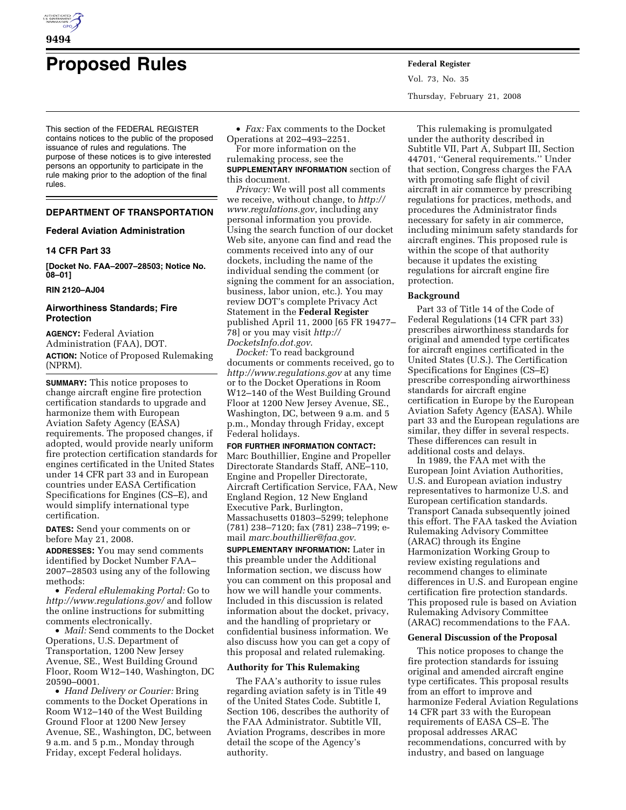

# **Proposed Rules Federal Register**

This section of the FEDERAL REGISTER contains notices to the public of the proposed issuance of rules and regulations. The purpose of these notices is to give interested persons an opportunity to participate in the rule making prior to the adoption of the final rules.

# **DEPARTMENT OF TRANSPORTATION**

## **Federal Aviation Administration**

## **14 CFR Part 33**

**[Docket No. FAA–2007–28503; Notice No. 08–01]** 

#### **RIN 2120–AJ04**

# **Airworthiness Standards; Fire Protection**

**AGENCY:** Federal Aviation Administration (FAA), DOT. **ACTION:** Notice of Proposed Rulemaking (NPRM).

**SUMMARY:** This notice proposes to change aircraft engine fire protection certification standards to upgrade and harmonize them with European Aviation Safety Agency (EASA) requirements. The proposed changes, if adopted, would provide nearly uniform fire protection certification standards for engines certificated in the United States under 14 CFR part 33 and in European countries under EASA Certification Specifications for Engines (CS–E), and would simplify international type certification.

**DATES:** Send your comments on or before May 21, 2008.

**ADDRESSES:** You may send comments identified by Docket Number FAA– 2007–28503 using any of the following methods:

• *Federal eRulemaking Portal:* Go to *http://www.regulations.gov/* and follow the online instructions for submitting comments electronically.

• *Mail:* Send comments to the Docket Operations, U.S. Department of Transportation, 1200 New Jersey Avenue, SE., West Building Ground Floor, Room W12–140, Washington, DC 20590–0001.

• *Hand Delivery or Courier:* Bring comments to the Docket Operations in Room W12–140 of the West Building Ground Floor at 1200 New Jersey Avenue, SE., Washington, DC, between 9 a.m. and 5 p.m., Monday through Friday, except Federal holidays.

• *Fax:* Fax comments to the Docket Operations at 202–493–2251.

For more information on the rulemaking process, see the **SUPPLEMENTARY INFORMATION** section of this document.

*Privacy:* We will post all comments we receive, without change, to *http:// www.regulations.gov*, including any personal information you provide. Using the search function of our docket Web site, anyone can find and read the comments received into any of our dockets, including the name of the individual sending the comment (or signing the comment for an association, business, labor union, etc.). You may review DOT's complete Privacy Act Statement in the **Federal Register**  published April 11, 2000 [65 FR 19477– 78] or you may visit *http:// DocketsInfo.dot.gov*.

*Docket:* To read background documents or comments received, go to *http://www.regulations.gov* at any time or to the Docket Operations in Room W12–140 of the West Building Ground Floor at 1200 New Jersey Avenue, SE., Washington, DC, between 9 a.m. and 5 p.m., Monday through Friday, except Federal holidays.

#### **FOR FURTHER INFORMATION CONTACT:**

Marc Bouthillier, Engine and Propeller Directorate Standards Staff, ANE–110, Engine and Propeller Directorate, Aircraft Certification Service, FAA, New England Region, 12 New England Executive Park, Burlington, Massachusetts 01803–5299; telephone (781) 238–7120; fax (781) 238–7199; email *marc.bouthillier@faa.gov*.

**SUPPLEMENTARY INFORMATION:** Later in this preamble under the Additional Information section, we discuss how you can comment on this proposal and how we will handle your comments. Included in this discussion is related information about the docket, privacy, and the handling of proprietary or confidential business information. We also discuss how you can get a copy of this proposal and related rulemaking.

# **Authority for This Rulemaking**

The FAA's authority to issue rules regarding aviation safety is in Title 49 of the United States Code. Subtitle I, Section 106, describes the authority of the FAA Administrator. Subtitle VII, Aviation Programs, describes in more detail the scope of the Agency's authority.

Vol. 73, No. 35 Thursday, February 21, 2008

This rulemaking is promulgated under the authority described in Subtitle VII, Part A, Subpart III, Section 44701, ''General requirements.'' Under that section, Congress charges the FAA with promoting safe flight of civil aircraft in air commerce by prescribing regulations for practices, methods, and procedures the Administrator finds necessary for safety in air commerce, including minimum safety standards for aircraft engines. This proposed rule is within the scope of that authority because it updates the existing regulations for aircraft engine fire protection.

#### **Background**

Part 33 of Title 14 of the Code of Federal Regulations (14 CFR part 33) prescribes airworthiness standards for original and amended type certificates for aircraft engines certificated in the United States (U.S.). The Certification Specifications for Engines (CS–E) prescribe corresponding airworthiness standards for aircraft engine certification in Europe by the European Aviation Safety Agency (EASA). While part 33 and the European regulations are similar, they differ in several respects. These differences can result in additional costs and delays.

In 1989, the FAA met with the European Joint Aviation Authorities, U.S. and European aviation industry representatives to harmonize U.S. and European certification standards. Transport Canada subsequently joined this effort. The FAA tasked the Aviation Rulemaking Advisory Committee (ARAC) through its Engine Harmonization Working Group to review existing regulations and recommend changes to eliminate differences in U.S. and European engine certification fire protection standards. This proposed rule is based on Aviation Rulemaking Advisory Committee (ARAC) recommendations to the FAA.

#### **General Discussion of the Proposal**

This notice proposes to change the fire protection standards for issuing original and amended aircraft engine type certificates. This proposal results from an effort to improve and harmonize Federal Aviation Regulations 14 CFR part 33 with the European requirements of EASA CS–E. The proposal addresses ARAC recommendations, concurred with by industry, and based on language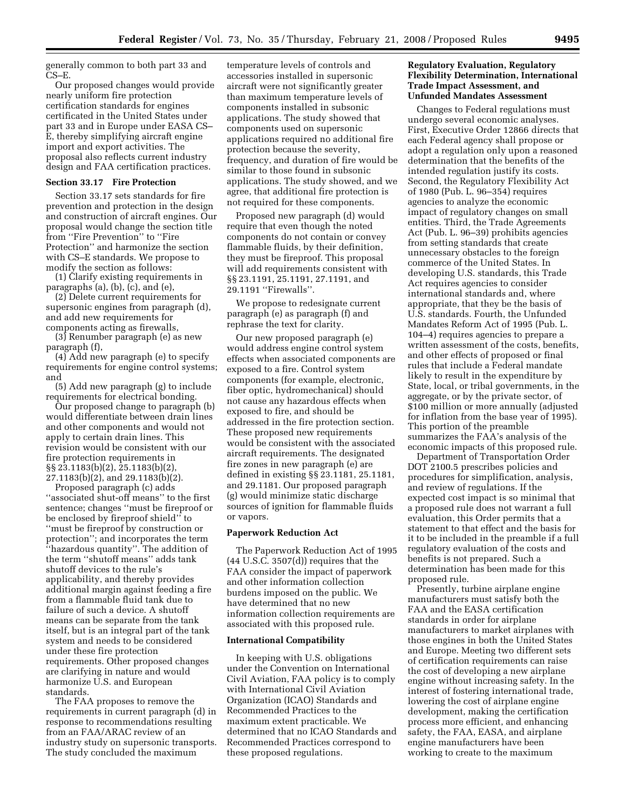generally common to both part 33 and CS–E.

Our proposed changes would provide nearly uniform fire protection certification standards for engines certificated in the United States under part 33 and in Europe under EASA CS– E, thereby simplifying aircraft engine import and export activities. The proposal also reflects current industry design and FAA certification practices.

#### **Section 33.17 Fire Protection**

Section 33.17 sets standards for fire prevention and protection in the design and construction of aircraft engines. Our proposal would change the section title from ''Fire Prevention'' to ''Fire Protection'' and harmonize the section with CS–E standards. We propose to modify the section as follows:

(1) Clarify existing requirements in paragraphs (a), (b), (c), and (e),

(2) Delete current requirements for supersonic engines from paragraph (d), and add new requirements for components acting as firewalls,

(3) Renumber paragraph (e) as new paragraph (f),

(4) Add new paragraph (e) to specify requirements for engine control systems; and

(5) Add new paragraph (g) to include requirements for electrical bonding.

Our proposed change to paragraph (b) would differentiate between drain lines and other components and would not apply to certain drain lines. This revision would be consistent with our fire protection requirements in §§ 23.1183(b)(2), 25.1183(b)(2), 27.1183(b)(2), and 29.1183(b)(2).

Proposed paragraph (c) adds ''associated shut-off means'' to the first sentence; changes ''must be fireproof or be enclosed by fireproof shield'' to ''must be fireproof by construction or protection''; and incorporates the term ''hazardous quantity''. The addition of the term ''shutoff means'' adds tank shutoff devices to the rule's applicability, and thereby provides additional margin against feeding a fire from a flammable fluid tank due to failure of such a device. A shutoff means can be separate from the tank itself, but is an integral part of the tank system and needs to be considered under these fire protection requirements. Other proposed changes are clarifying in nature and would harmonize U.S. and European standards.

The FAA proposes to remove the requirements in current paragraph (d) in response to recommendations resulting from an FAA/ARAC review of an industry study on supersonic transports. The study concluded the maximum

temperature levels of controls and accessories installed in supersonic aircraft were not significantly greater than maximum temperature levels of components installed in subsonic applications. The study showed that components used on supersonic applications required no additional fire protection because the severity, frequency, and duration of fire would be similar to those found in subsonic applications. The study showed, and we agree, that additional fire protection is not required for these components.

Proposed new paragraph (d) would require that even though the noted components do not contain or convey flammable fluids, by their definition, they must be fireproof. This proposal will add requirements consistent with §§ 23.1191, 25.1191, 27.1191, and 29.1191 ''Firewalls''.

We propose to redesignate current paragraph (e) as paragraph (f) and rephrase the text for clarity.

Our new proposed paragraph (e) would address engine control system effects when associated components are exposed to a fire. Control system components (for example, electronic, fiber optic, hydromechanical) should not cause any hazardous effects when exposed to fire, and should be addressed in the fire protection section. These proposed new requirements would be consistent with the associated aircraft requirements. The designated fire zones in new paragraph (e) are defined in existing §§ 23.1181, 25.1181, and 29.1181. Our proposed paragraph (g) would minimize static discharge sources of ignition for flammable fluids or vapors.

### **Paperwork Reduction Act**

The Paperwork Reduction Act of 1995  $(44$  U.S.C. 3507 $(d)$ ) requires that the FAA consider the impact of paperwork and other information collection burdens imposed on the public. We have determined that no new information collection requirements are associated with this proposed rule.

#### **International Compatibility**

In keeping with U.S. obligations under the Convention on International Civil Aviation, FAA policy is to comply with International Civil Aviation Organization (ICAO) Standards and Recommended Practices to the maximum extent practicable. We determined that no ICAO Standards and Recommended Practices correspond to these proposed regulations.

# **Regulatory Evaluation, Regulatory Flexibility Determination, International Trade Impact Assessment, and Unfunded Mandates Assessment**

Changes to Federal regulations must undergo several economic analyses. First, Executive Order 12866 directs that each Federal agency shall propose or adopt a regulation only upon a reasoned determination that the benefits of the intended regulation justify its costs. Second, the Regulatory Flexibility Act of 1980 (Pub. L. 96–354) requires agencies to analyze the economic impact of regulatory changes on small entities. Third, the Trade Agreements Act (Pub. L. 96–39) prohibits agencies from setting standards that create unnecessary obstacles to the foreign commerce of the United States. In developing U.S. standards, this Trade Act requires agencies to consider international standards and, where appropriate, that they be the basis of U.S. standards. Fourth, the Unfunded Mandates Reform Act of 1995 (Pub. L. 104–4) requires agencies to prepare a written assessment of the costs, benefits, and other effects of proposed or final rules that include a Federal mandate likely to result in the expenditure by State, local, or tribal governments, in the aggregate, or by the private sector, of \$100 million or more annually (adjusted for inflation from the base year of 1995). This portion of the preamble summarizes the FAA's analysis of the economic impacts of this proposed rule.

Department of Transportation Order DOT 2100.5 prescribes policies and procedures for simplification, analysis, and review of regulations. If the expected cost impact is so minimal that a proposed rule does not warrant a full evaluation, this Order permits that a statement to that effect and the basis for it to be included in the preamble if a full regulatory evaluation of the costs and benefits is not prepared. Such a determination has been made for this proposed rule.

Presently, turbine airplane engine manufacturers must satisfy both the FAA and the EASA certification standards in order for airplane manufacturers to market airplanes with those engines in both the United States and Europe. Meeting two different sets of certification requirements can raise the cost of developing a new airplane engine without increasing safety. In the interest of fostering international trade, lowering the cost of airplane engine development, making the certification process more efficient, and enhancing safety, the FAA, EASA, and airplane engine manufacturers have been working to create to the maximum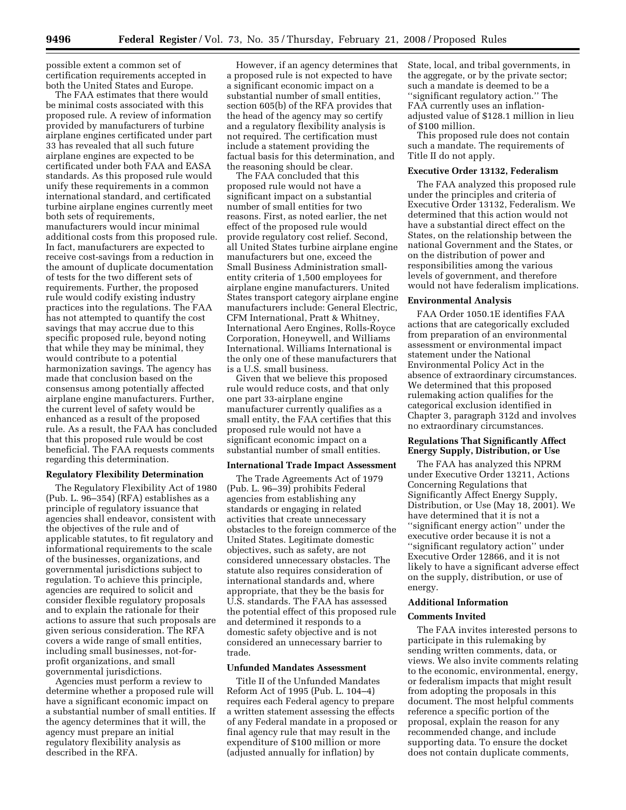possible extent a common set of certification requirements accepted in both the United States and Europe.

The FAA estimates that there would be minimal costs associated with this proposed rule. A review of information provided by manufacturers of turbine airplane engines certificated under part 33 has revealed that all such future airplane engines are expected to be certificated under both FAA and EASA standards. As this proposed rule would unify these requirements in a common international standard, and certificated turbine airplane engines currently meet both sets of requirements, manufacturers would incur minimal additional costs from this proposed rule. In fact, manufacturers are expected to receive cost-savings from a reduction in the amount of duplicate documentation of tests for the two different sets of requirements. Further, the proposed rule would codify existing industry practices into the regulations. The FAA has not attempted to quantify the cost savings that may accrue due to this specific proposed rule, beyond noting that while they may be minimal, they would contribute to a potential harmonization savings. The agency has made that conclusion based on the consensus among potentially affected airplane engine manufacturers. Further, the current level of safety would be enhanced as a result of the proposed rule. As a result, the FAA has concluded that this proposed rule would be cost beneficial. The FAA requests comments regarding this determination.

## **Regulatory Flexibility Determination**

The Regulatory Flexibility Act of 1980 (Pub. L. 96–354) (RFA) establishes as a principle of regulatory issuance that agencies shall endeavor, consistent with the objectives of the rule and of applicable statutes, to fit regulatory and informational requirements to the scale of the businesses, organizations, and governmental jurisdictions subject to regulation. To achieve this principle, agencies are required to solicit and consider flexible regulatory proposals and to explain the rationale for their actions to assure that such proposals are given serious consideration. The RFA covers a wide range of small entities, including small businesses, not-forprofit organizations, and small governmental jurisdictions.

Agencies must perform a review to determine whether a proposed rule will have a significant economic impact on a substantial number of small entities. If the agency determines that it will, the agency must prepare an initial regulatory flexibility analysis as described in the RFA.

However, if an agency determines that a proposed rule is not expected to have a significant economic impact on a substantial number of small entities, section 605(b) of the RFA provides that the head of the agency may so certify and a regulatory flexibility analysis is not required. The certification must include a statement providing the factual basis for this determination, and the reasoning should be clear.

The FAA concluded that this proposed rule would not have a significant impact on a substantial number of small entities for two reasons. First, as noted earlier, the net effect of the proposed rule would provide regulatory cost relief. Second, all United States turbine airplane engine manufacturers but one, exceed the Small Business Administration smallentity criteria of 1,500 employees for airplane engine manufacturers. United States transport category airplane engine manufacturers include: General Electric, CFM International, Pratt & Whitney, International Aero Engines, Rolls-Royce Corporation, Honeywell, and Williams International. Williams International is the only one of these manufacturers that is a U.S. small business.

Given that we believe this proposed rule would reduce costs, and that only one part 33-airplane engine manufacturer currently qualifies as a small entity, the FAA certifies that this proposed rule would not have a significant economic impact on a substantial number of small entities.

#### **International Trade Impact Assessment**

The Trade Agreements Act of 1979 (Pub. L. 96–39) prohibits Federal agencies from establishing any standards or engaging in related activities that create unnecessary obstacles to the foreign commerce of the United States. Legitimate domestic objectives, such as safety, are not considered unnecessary obstacles. The statute also requires consideration of international standards and, where appropriate, that they be the basis for U.S. standards. The FAA has assessed the potential effect of this proposed rule and determined it responds to a domestic safety objective and is not considered an unnecessary barrier to trade.

## **Unfunded Mandates Assessment**

Title II of the Unfunded Mandates Reform Act of 1995 (Pub. L. 104–4) requires each Federal agency to prepare a written statement assessing the effects of any Federal mandate in a proposed or final agency rule that may result in the expenditure of \$100 million or more (adjusted annually for inflation) by

State, local, and tribal governments, in the aggregate, or by the private sector; such a mandate is deemed to be a ''significant regulatory action.'' The FAA currently uses an inflationadjusted value of \$128.1 million in lieu of \$100 million.

This proposed rule does not contain such a mandate. The requirements of Title II do not apply.

#### **Executive Order 13132, Federalism**

The FAA analyzed this proposed rule under the principles and criteria of Executive Order 13132, Federalism. We determined that this action would not have a substantial direct effect on the States, on the relationship between the national Government and the States, or on the distribution of power and responsibilities among the various levels of government, and therefore would not have federalism implications.

# **Environmental Analysis**

FAA Order 1050.1E identifies FAA actions that are categorically excluded from preparation of an environmental assessment or environmental impact statement under the National Environmental Policy Act in the absence of extraordinary circumstances. We determined that this proposed rulemaking action qualifies for the categorical exclusion identified in Chapter 3, paragraph 312d and involves no extraordinary circumstances.

# **Regulations That Significantly Affect Energy Supply, Distribution, or Use**

The FAA has analyzed this NPRM under Executive Order 13211, Actions Concerning Regulations that Significantly Affect Energy Supply, Distribution, or Use (May 18, 2001). We have determined that it is not a ''significant energy action'' under the executive order because it is not a ''significant regulatory action'' under Executive Order 12866, and it is not likely to have a significant adverse effect on the supply, distribution, or use of energy.

# **Additional Information**

## **Comments Invited**

The FAA invites interested persons to participate in this rulemaking by sending written comments, data, or views. We also invite comments relating to the economic, environmental, energy, or federalism impacts that might result from adopting the proposals in this document. The most helpful comments reference a specific portion of the proposal, explain the reason for any recommended change, and include supporting data. To ensure the docket does not contain duplicate comments,